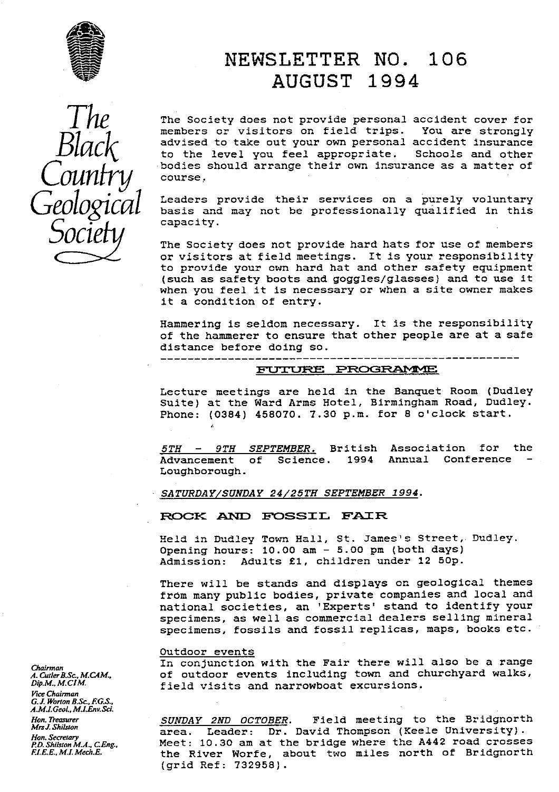

# *NEWSLETTER NO. 106 AUGUST 1994*

 $T_{1}$  The Society does not provide personal accident cover for<br>
The members or visitors on field trips. You are strongly *B1ac* advised to take out your own personal accident insurance to the level you feel appropriate. Schools and other bodies should arrange their own insurance as a matter of *course*.

> Leaders provide their services on a purely voluntary<br>basis and may not be professionally qualified in this capacity.

> The Society does not provide hard hats for use of members or visitors at field meetings. It is your responsibility to provide your own hard hat and other safety equipment (such as safety boots and goggles/glasses) and to use it when you feel it is necessary or when a site owner makes it a condition of entry.

> Hammering is seldom necessary. It is the responsibility of the hammerer to ensure that other people are at a safe distance before doing so.

# PtJ JR PRc c **RANY'1E**

Lecture meetings are held in the Banquet Room (Dudley Suite) at the Ward Arms Hotel, Birmingham Road, Dudley. Phone: (0384) 458070. 7.30 p.m. for 8 o'clock start.

*5TH - 9TH SEPTEMBER.* British Association for the Annual Conference Loughborough.

*SATURDAY SUNDAY 24 25TH SEPTEMBER 1994.*

**ROCK AND FOSSIL FAIR** 

Held in Dudley Town Hall, St. James's Street, Dudley. Opening hours: 10.00 **am -** 5.00 pm (both days) Admission: Adults £I, children under 12 50p.

There will be stands and displays on geological themes from many public bodies, private companies and local and national societies, an 'Experts' stand to identify your specimens, as well as commercial dealers selling mineral specimens, fossils and fossil replicas, maps, books etc.

### Outdoor events

*Chairman* In conjunction with the Fair there will also be a range A.Culer B.Sc., M.CAM. **of outdoor events including town and churchyard walks,**  $\rho_{ip,M,N,CIM}$ . **field visits and narrowboat excursions.** of outdoor events including town and churchyard walks, field visits and narrowboat excursions.

*Hon. Treasurer SUNDAY 2ND* OCTOBER . Field meeting to the Bridgnorth *MrsJ.Shilsion* area. Leader: Dr. David Thompson (Keels University). *P.D.ShilstonM.A.,CEng..* Meet: 10.30 am at the bridge where the A442 road crosses the River Worfe, about two miles north of Bridgnorth (grid Ref: 732958).

*Vice* Chairman *G. J\_ Worton B.Sc. F.G.S., A.M.I.Geol., M.1Env.Sci. Hon. Secretary*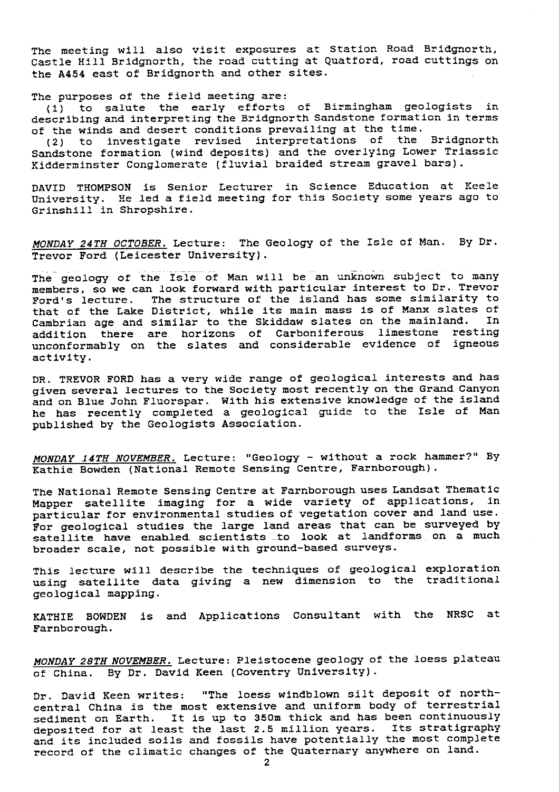The meeting will also visit exposures at Station Road Bridgnorth, Castle Hill Bridgnorth, the road cutting at Quatford, road cuttings on the A454 east of Bridgnorth and other sites.

The purposes of the field meeting are:

(I) to salute the early efforts of Birmingham geologists in describing and interpreting the Bridgnorth Sandstone formation in terms of the winds and desert conditions prevailing at the time.

(2) to investigate revised interpretations of the Bridgnorth Sandstone formation (wind deposits) and the overlying Lower Triassic Kidderminster Conglomerate (fluvial braided stream gravel bars).

DAVID THOMPSON is Senior Lecturer in Science Education at Keele University. He led a field meeting for this Society some years ago to Grinshill in Shropshire.

*MONDAY 24TH OCTOBER.* Lecture: The Geology of the Isle of Man. By Dr. Trevor Ford (Leicester University).

The geology of the Isle of Man will be an unknown subject to many members, so we can look forward with particular interest to Dr. Trevor Ford's lecture. The structure of the island has some similarity to that of the Lake District, while its main mass is of Manx slates of<br>Cambrian age and similar to the Skiddaw slates on the mainland. In Cambrian age and similar to the Skiddaw slates on the mainland. addition there are horizons of Carboniferous limestone resting unconformably on the slates and considerable evidence of igneous activity.

DR. TREVOR FORD has a very wide range of geological interests and has given several lectures to the Society most recently on the Grand Canyon and on Blue John Fluorspar. With his extensive knowledge of the island he has recently completed a geological guide to the Isle of Man published by the Geologists Association.

MONDAY *14TH NOVEMBER.* Lecture: "Geology - without a rock hammer?" By Kathie Bowden (National Remote Sensing Centre, Farnborough).

The National Remote Sensing Centre at Farnborough uses Landsat Thematic Mapper satellite imaging for a wide variety of applications, in particular for environmental studies of vegetation cover and land use. For geological studies the large land areas that can be surveyed by satellite have enabled scientists to look at landforms on a much broader scale, not possible with ground-based surveys.

This lecture will describe the techniques of geological exploration using satellite data giving a new dimension to the traditional geological mapping.

KATHIE BOWDEN is and Applications Consultant with the NRSC at Farnborough.

*MONDAY 28TH NOVEMBER.* Lecture: Pleistocene geology of the loess plateau of China. By Dr. David Keen (Coventry University).

Dr. David Keen writes: "The loess windblown silt deposit of northcentral China is the most extensive and uniform body of terrestrial sediment on Earth. It is up to 350m thick and has been continuously deposited for at least the last 2.5 million years. Its stratigraphy and its included soils and fossils have potentially the most complete record of the climatic changes of the Quaternary anywhere on land.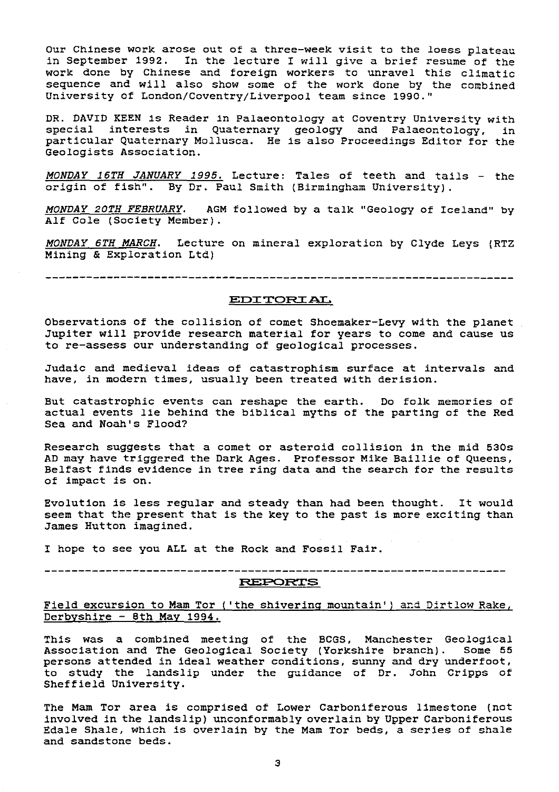Our Chinese work arose out of a three-week visit to the loess plateau in September 1992. In the lecture I will give a brief resume of the work done by Chinese and foreign workers to unravel this climatic sequence and will also show some of the work done by the combined University of London/Coventry/Liverpool team since 1990."

DR. DAVID KEEN is Reader in Palaeontology at Coventry University with special interests in Quaternary geology and Palaeontology, in particular Quaternary Mollusca. He is also Proceedings Editor for the Geologists Association.

*MONDAY 16TH JANUARY 1995.* Lecture: Tales of teeth and tails - the origin of fish". By Dr. Paul Smith (Birmingham University).

MONDAY 20TH FEBRUARY. AGM followed by a talk "Geology of Iceland" by Alf Cole (Society Member).

MONDAY 6TH MARCH. Lecture on mineral exploration by Clyde Leys (RTZ Mining & Exploration Ltd)

## EDITORIAL.

Observations of the collision of comet Shoemaker-Levy with the planet Jupiter will provide research material for years to come and cause us to re-assess our understanding of geological processes.

Judaic and medieval ideas of catastrophism surface at intervals and have, in modern times, usually been treated with derision.

But catastrophic events can reshape the earth. Do folk memories of actual events lie behind the biblical myths of the parting of the Red Sea and Noah's Flood?

Research suggests that a comet or asteroid collision in the mid 530s AD may have triggered the Dark Ages. Professor Mike Baillie of Queens, Belfast finds evidence in tree ring data and the search for the results of impact is on.

Evolution is less regular and steady than had been thought. It would seem that the present that is the key to the past is more exciting than James Hutton imagined.

I hope to see you ALL at the Rock and Fossil Fair.

RLG'Pa1^rS

Field excursion to Mam Tor ('the shivering mountain') and Dirtlow Rake, Derbyshire - 8th May 1994.

This was a combined meeting of the BCGS, Manchester Geological Association and The Geological Society (Yorkshire branch). Some 55 persons attended in ideal weather conditions, sunny and dry underfoot, to study the landslip under the guidance of Dr. John Cripps of Sheffield University.

The Mam Tor area is comprised of Lower Carboniferous limestone (not involved in the landslip) unconformably overlain by Upper Carboniferous Edale Shale, which is overlain by the Mam Tor beds, a series of shale and sandstone beds.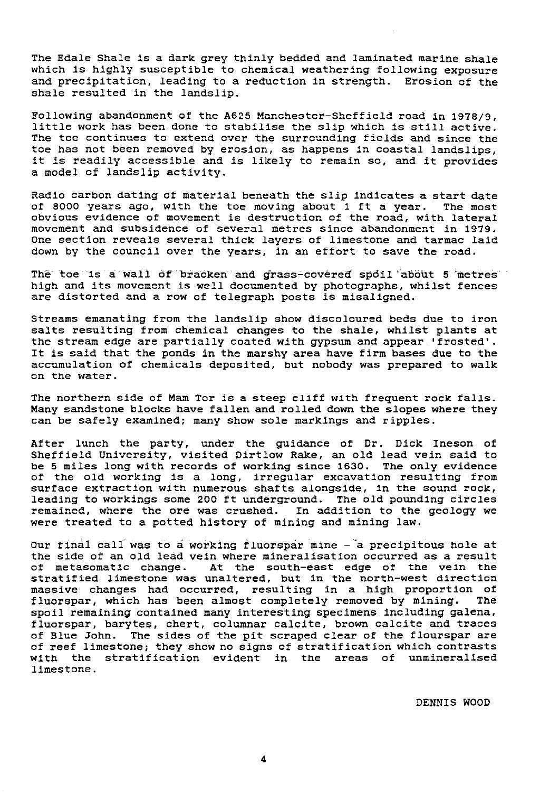The Edale Shale is a dark grey thinly bedded and laminated marine shale which is highly susceptible to chemical weathering following exposure and precipitation, leading to a reduction in strength. Erosion of the shale resulted in the landslip.

Following abandonment of the A625 Manchester-Sheffield road in 1978/9, little work has been done to stabilise the slip which is still active. The toe continues to extend over the surrounding fields and since the toe has not been removed by erosion, as happens in coastal Landslips, it is readily accessible and is likely to remain so, and it provides a model of landslip activity.

Radio carbon dating of material beneath the slip indicates a start date of 8000 years ago, with the toe moving about 1 ft a year. The most obvious evidence of movement is destruction of the road, with lateral movement and subsidence of several metres since abandonment in 1979. One section reveals several thick layers of limestone and tarmac laid down by the council over the years, in an effort to save the road.

The toe is a wall of bracken and grass-covered spoil about 5 metres high and its movement is well documented by photographs, whilst fences are distorted and a row of telegraph posts is misaligned.

Streams emanating from the landslip show discoloured beds due to iron salts resulting from chemical changes to the shale, whilst plants at the stream edge are partially coated with gypsum and appear.'frosted'. It is said that the ponds in the marshy area have firm bases due to the accumulation of chemicals deposited, but nobody was prepared to walk on the water.

The northern side of Mam Tor is a steep cliff with frequent rock falls. Many sandstone blocks have fallen and rolled down the slopes where they can be safely examined; many show sole markings and ripples.

After lunch the party, under the guidance of Dr. Dick Ineson of Sheffield University, visited Dirtlow Rake, an old lead vein said to be 5 miles long with records of working since 1630. The only evidence of the old working is a long, irregular excavation resulting from surface extraction with numerous shafts alongside, in the sound rock, leading to workings some 200 ft underground. The old pounding circles remained, where the ore was crushed. In addition to the geology we were treated to a potted history of mining and mining law.

Our final call was to a working fluorspar mine  $-$  a precipitous hole at the side of an old lead vein where mineralisation occurred as a result<br>of metasomatic change. At the south-east edge of the vein the At the south-east edge of the vein the stratified limestone was unaltered, but in the north-west direction massive changes had occurred, resulting in a high proportion of fluorspar, which has been almost completely removed by mining. spoil remaining contained many interesting specimens including galena, fluorspar, barytes, chert, columnar calcite, brown calcite and traces of Blue John. The sides of the pit scraped clear of the flourspar are of reef limestone; they show no signs of stratification which contrasts<br>with the stratification evident in the areas of unmineralised with the stratification evident limestone.

DENNIS WOOD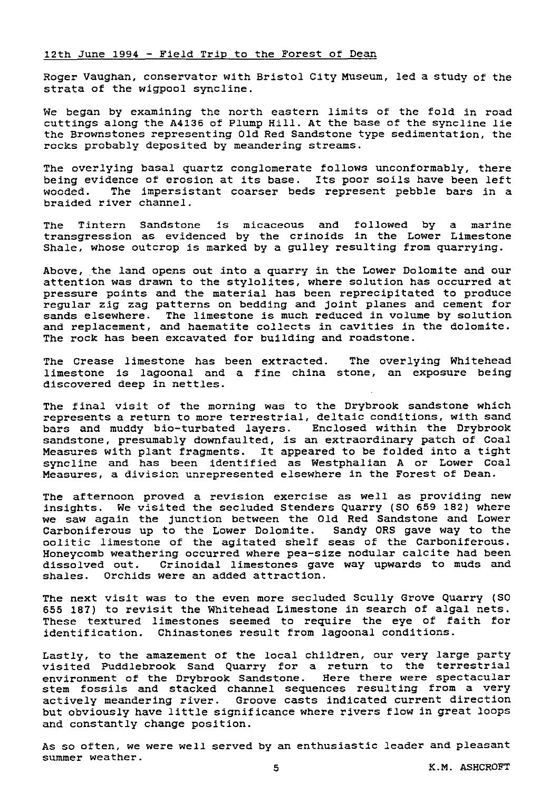### 12th June 1994 - Field Trip to the Forest of Dean

Roger Vaughan, conservator with Bristol City Museum, led a study of the strata of the wigpool syncline.

We began by examining the north eastern limits of the fold in road cuttings along the A4136 of Plump Hill. At the base of the syncline lie the Brownstones representing Old Red Sandstone type sedimentation, the rocks probably deposited by meandering streams.

The overlying basal quartz conglomerate follows unconformably, there being evidence of erosion at its base. Its poor soils have been left<br>wooded. The impersistant coarser beds represent pebble bars in a The impersistant coarser beds represent pebble bars in a braided river channel.

The Tintern Sandstone is micaceous and followed by a marine transgression as evidenced by the crinoids in the Lower Limestone Shale, whose outcrop is marked by a gulley resulting from quarrying.

Above, the land opens out into a quarry In the Lower Dolomite and our attention was drawn to the stylolites, where solution has occurred at pressure points and the material has been reprecipitated to produce regular zig zag patterns on bedding and joint planes and cement for sands elsewhere. The limestone is much reduced in volume by solution and replacement, and haematite collects in cavities in the dolomite. The rock has been excavated for building and roadstone.

The Crease limestone has been extracted. The overlying Whitehead limestone is lagoonal and a fine china stone, an exposure being discovered deep in nettles.

The final visit of the morning was to the Drybrook sandstone which represents a return to more terrestrial, deltaic conditions, with sand bars and muddy blo-turbated layers. Enclosed within the Drybrook sandstone, presumably downfaulted, is an extraordinary patch of Coal Measures with plant fragments. It appeared to be folded into a tight syncline and has been identified as Westphalian A or Lower Coal Measures, a division unrepresented elsewhere in the Forest of Dean.

The afternoon proved a revision exercise as well as providing new insights. We visited the secluded Stenders Quarry (SO 659 182) where we saw again the junction between the Old Red Sandstone and Lower Carboniferous up to the Lower Dolomite. Sandy ORS gave way to the oolitic limestone of the agitated shelf seas of the Carboniferous. Honeycomb weathering occurred where pea-size nodular calcite had been dissolved out. Crinoidal limestones gave way upwards to muds and shales. Orchids were an added attraction.

The next visit **was** to the even more secluded Scully Grove Quarry (SO 655 187) to revisit the Whitehead Limestone in search of algal nets. These textured limestones seemed to require the eye of faith for identification. Chinastones result from lagoonal conditions.

Lastly, to the amazement of the local children, our very large party visited Puddlebrook Sand Quarry for a return to the terrestrial environment of the Drybrook Sandstone. Here there were spectacular stem fossils and stacked channel sequences resulting from a very actively meandering river. Groove casts indicated current direction but obviously have little significance where rivers flow in great loops and constantly change position.

As so often, we were well served by an enthusiastic leader and pleasant summer weather.

5 K.M. ASHCROFT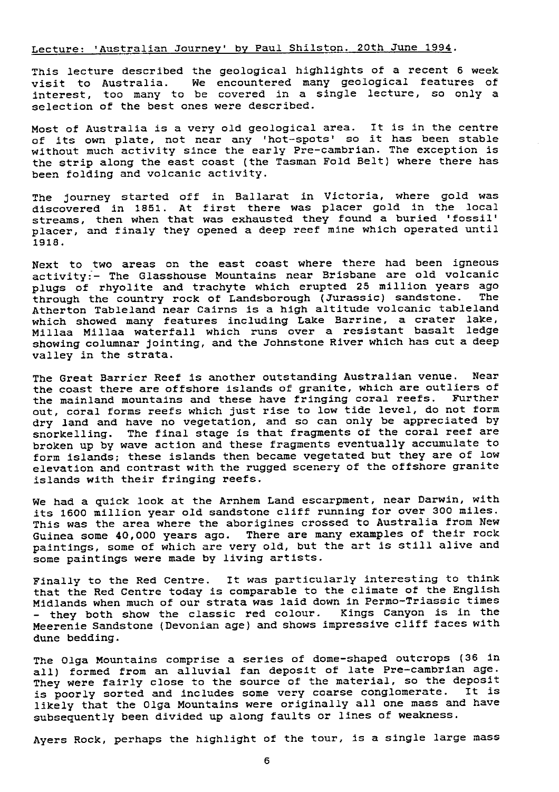## Lecture: 'Australian Journey' by Paul Shilston. 20th June 1994.

This lecture described the geological highlights of a recent 6 week visit to Australia. We encountered many geological features of interest, too many to be covered in a single lecture, so only a selection of the best ones were described.

Most of Australia is a very old geological area. It is in the centre of its own plate, not near any 'hot-spots' so it has been stable without much activity since the early Pre-Cambrian. The exception is the strip along the east coast (the Tasman Fold Belt) where there has been folding and volcanic activity.

The journey started off in Ballarat in Victoria, where gold was discovered in 1851. At first there was placer gold in the local streams, then when that was exhausted they found a buried 'fossil' placer, and finaly they opened a deep reef mine which operated until 1916.

Next to two areas on the east coast where there had been igneous activity:- The Glasshouse Mountains near Brisbane are old volcanic plugs of rhyolite and trachyte which erupted 25 million years ago through the country rock of Landsborough (Jurassic) sandstone. Atherton Tableland near Cairns is a high altitude volcanic tableland which showed many features including Lake Barrine, a crater lake, Millaa Millaa waterfall which runs over a resistant basalt ledge showing columnar jointing, and the Johnstone River which has cut a deep valley in the strata.

The Great Barrier Reef is another outstanding Australian venue. Near the coast there are offshore islands of granite, which are outliers of<br>the mainland mountains and these have fringing coral reefs. Further the mainland mountains and these have fringing coral reefs. out, coral forms reefs which just rise to low tide level, do not form dry land and have no vegetation, and so can only be appreciated by snorkelling. The final stage is that fragments of the coral reef are broken up by wave action and these fragments eventually accumulate to *form islands;* these islands then became vegetated but they are of low elevation and contrast with the rugged scenery of the offshore granite islands with their fringing reefs.

We had a quick look at the Arnhem Land escarpment, near Darwin, with its 1600 million year old sandstone cliff running for over 300 miles. This was the area where the aborigines crossed to Australia from New Guinea some 40,000 years ago. There are many examples of their rock paintings, some of which are very old, but the art is still alive and some paintings were made by living artists.

Finally to the Red Centre. It was particularly interesting to think that the Red Centre today is comparable to the climate of the English Midlands when much of our strata was laid down in Permo-Triassic times - they both show the classic red colour. Kings Canyon is in the Meerenie Sandstone (Devonian age) and shows impressive cliff faces with dune bedding.

The Olga Mountains comprise a series of dome-shaped outcrops (36 in all) formed from an alluvial fan deposit of late Pre-Cambrian age. They were fairly close to the source of the material, so the deposit is poorly sorted and includes some very coarse conglomerate. It is likely that the Olga Mountains were originally all one mass and have subsequently been divided up along faults or lines of weakness.

Ayers Rock, perhaps the highlight of the tour, is a single large mass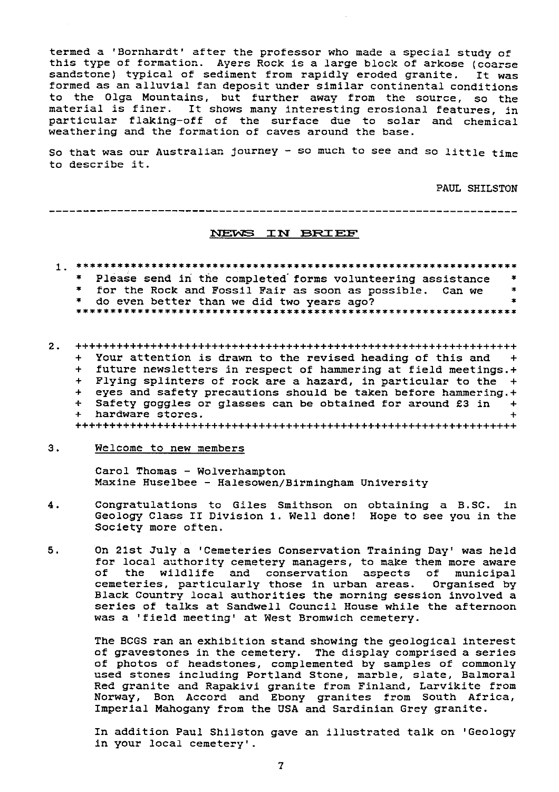termed a 'Sornhardt' after the professor who made a special study of this type of formation. Ayers Rock is a large block of arkose (coarse sandstone) typical of sediment from rapidly eroded granite. It was formed as an al <sup>l</sup>uvial fan deposit under similar continental conditions to the Olga Mountains, but further away from the source, so the material is finer. It shows many interesting erosional features, in particular flaking-off of the surface due to solar and chemical weathering and the formation of caves around the base.

So that was our Australian journey  $-$  so much to see and so little time to describe it.

PAUL SHILSTON

 $\mathbf{R}$ 

----------------------------------------------------------------------

### NEWS IN BRIEF

- 1. \*\*\*\*\*\*\*\* \*\* \*\*\*\* \*\* \*\*\*\*max\*a^\*\*\*\*\*\*\*s\*\*\*\*\*xis \*\*\*\*\*\*\*^x\*\*\*\*\*\*\*\*\*\*\*\*
	- \* Please send in the completed forms volunteering assistance  $\rightarrow$
	- for the Rock and Fossil Fair as soon as possible. Can we  $\rightarrow$
	-
	- \* do even better than we did two years ago?
- 2. +++++++++++++++++++++++++++++++++++++++++++++++++++++++++++++++++ + Your attention is drawn to the revised heading of this and +<br>+ future newsletters in respect of hammering at field meetings.+ + future newsletters in respect of hammering at field meetings.+ + Flying splinters of rock are a hazard, in particular to the + eyes and safety precautions should be taken before hammering.+ + Safety goggles or glasses can be obtained for around £3 in +<br>+ hardware stores. hardware stores. +++++++++++++++++++++++++++++++++++++++++++++++++++++++++++++++++
- 3. Welcome to new members

Carol Thomas - Wolverhampton Maxine Huselbee - Halesowen/Birmingham University

- 4. Congratulations to Giles Smithson on obtaining a B.SC. in Geology Class II Division 1. Well done! Hope to see you in the Society more often.
- 5. On 21st July a 'Cemeteries Conservation Training Day' was held for local authority cemetery managers, to make them more aware<br>of the wildlife and conservation aspects of municipal the wildlife and conservation aspects of municipal cemeteries, particularly those in urban areas. Organised by Black Country local authorities the morning session involved a series of talks at Sandwell Council House while the afternoon was a 'field meeting' at West Bromwich cemetery.

The BCGS ran an exhibition stand showing the geological interest of gravestones in the cemetery. The display comprised a series of photos of headstones, complemented by samples of commonly used stones including Portland Stone, marble, slate, Balmoral Red granite and Rapakivi granite from Finland, Larvikite from Norway, Bon Accord and Ebony granites from South Africa, Imperial Mahogany from the USA and Sardinian Grey granite.

In addition Paul Shilston gave an illustrated talk on 'Geology in your local cemetery'.